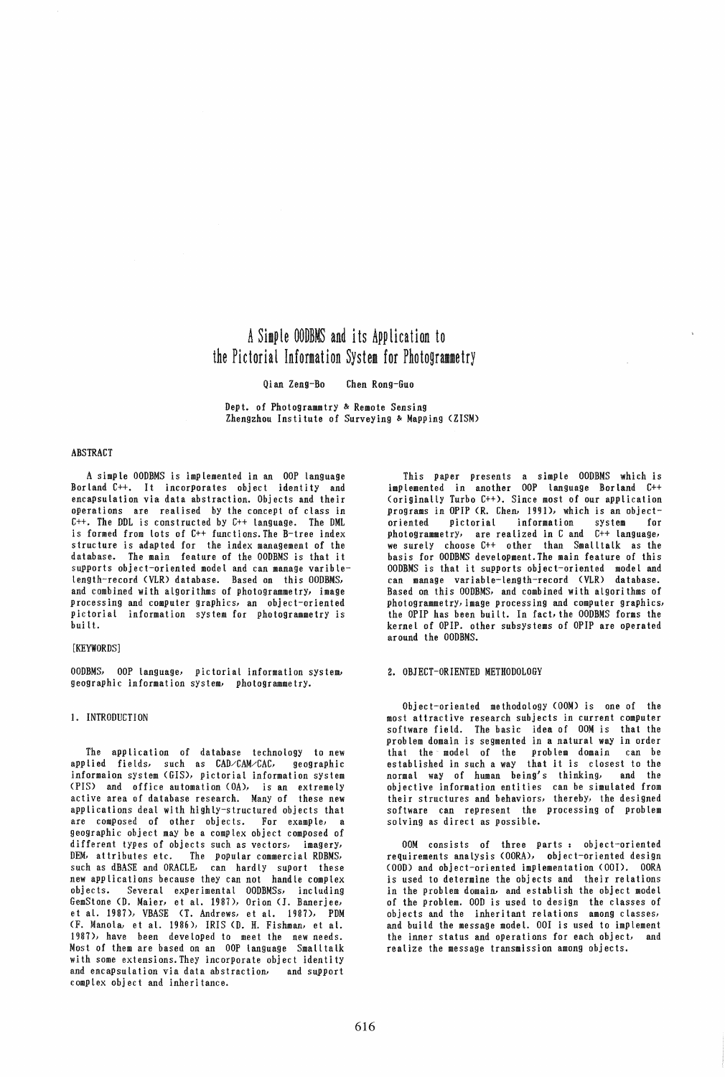# A Simple OODBMS and its Application to the Pictorial Information System for Photogrammetry

#### Qian Zeng-Bo Chen Rong-Guo

Dept. of Photogrammtry & Remote Sensing Zhengzhou Institute of Surveying & Mapping (ZISM)

## ABSTRACT

A simple OODBMS is implemented in an OOP language Borland *C++.* It incorporates object identity and encapsulation via data abstraction. Objects and their operations are realised by the concept of class in *C++.* The DDL is constructed by *C++* language. The DML is formed from lots of *C++* functions. The B-tree index structure is adapted for the index management of the database. The main feature of the OODBMS is that it supports object-oriented model and can manage variblelength-record (VLR) database. Based on this OODBMS, and combined with algorithms of photogrammetry, image processing and computer graphics, an object-oriented pictorial information system for photogrammetry is buil t.

#### [KEYWORDS]

OODBMS, OOP language, pictorial information system, geographic information system, photogrammetry.

# 1. INTRODUCTION

The application of database technology to new applied fields; such as CAD/CAM/CAC, geographic informaion system (GIS), pictorial information system (PIS) and office automation (OA), is an extremelY active area of database research. Many of these new applications deal with highly-structured objects that are composed of other objects. For example, a geographic object may be a complex object composed of different types of objects such as vectors, imagery, OEM, at tributes etc. The popuLar commercial RDBMS, such as dBASE and ORACLE, can hardlY suport these new applications because they can not handle complex Several experimental OODBMSs, including GemStone (D. Maier, et at. 1987), Orion (1. Banerjee, et at. 1987), VBASE (T. Andrews, et at. 1987), PDM (F. Manola, et at. 1986), IRIS (D. H. Fishman, et at. 1987), have been developed to meet the new needs. Most of them are based on an OOP language Smalttalk with some extensions. They incorPorate object identity and encapsulation via data abstraction, and support complex object and inheritance.

This paper presents a simple OODBMS which is implemented in another OOP language Borland *C++*  (originally Turbo *C++),* Since most of our application programs in OPIP (R. Chen, 1991), which is an objectoriented pictorial information system for photogrammetry, are realized in C and C++ language, we surely choose C++ other than Smalltalk as the basis for OODBMS development. The main feature of this OODBMS is that it supports object-oriented modeL and can manage variable-Length-record (VLR) database. Based on this OODBMS, and combined with algorithms of photogrammetrY, image processing and computer graphics, the OPIP has been buitt. In fact, the OODBMS forms the kernel of OPIP. other subsystems of OPIP are operated around the OODBMS.

#### 2. OBJECT-ORIENTED METHODOLOGY

Object-oriented methodology (OOM) is one of the most attractive research subjects in current computer software field. The basic idea of OOM is that the problem domain is segmented in a natural way in order that the model of the problem domain can be estabLished in such a way that it is closest to the normal way of human being's thinking, and the objective information entities can be simulated from their structures and behaviors; thereby, the designed software can represent the processing of problem solving as direct as possible.

OOM consists of three parts: object-oriented requirements analYsis (OORA), object-oriented design (OOD) and object-oriented implementation (001), OORA is used to determine the objects and their relations in the problem domain, and establish the object model of the problem. 000 is used to design the classes of objects and the inheritant relations among cLasses, and build the message model. 001 is used to implement the inner status and operations for each object, and realize the message transmission among objects.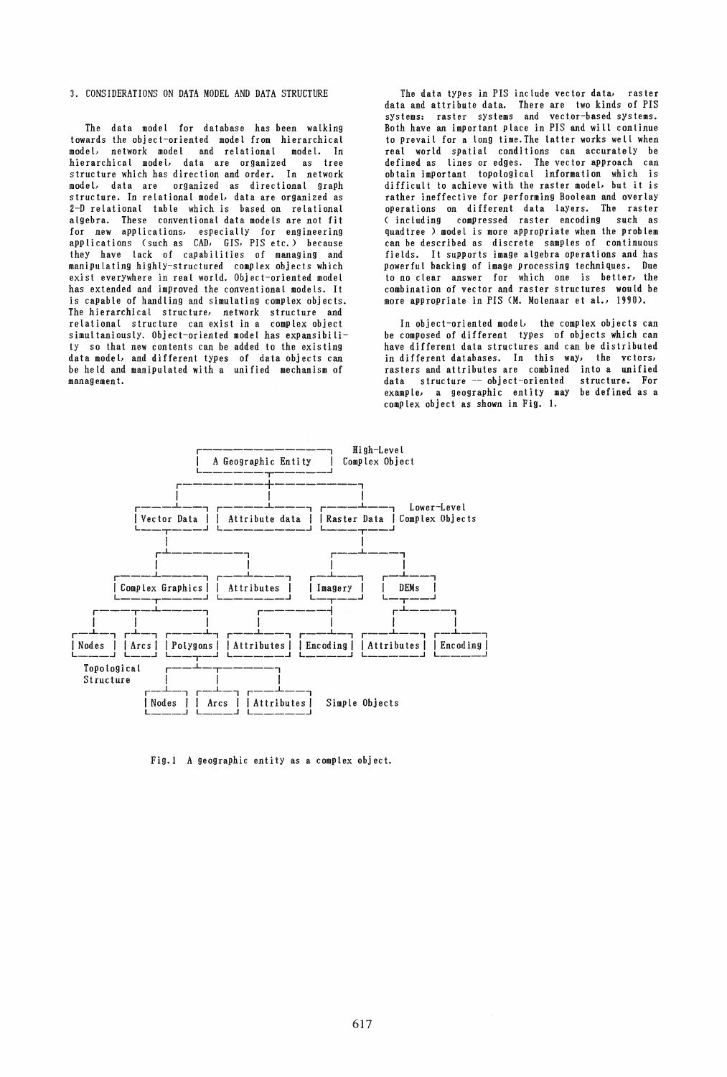# 3. CONSIDERATIONS ON DATA MODEL AND DATA STRUCTURE

The data model for database has been walking towards the object-oriented model from hierarchical model, network model and relational model. In hierarchical model, data are organized as tree structure which has direction and order. In network model, data are organized as directional graph structure. In reLational model, data are organized as 2-D relational table which is based on relational algebra. These conventional data models are not fit for new applications, especially for engineering applications (such as CAD, GIS, PIS etc.) because they have Lack of capabilities of managing and manipuLating highlY-structured complex objects which exist everywhere in real world. Object-oriented model has extended and improved the conventional models. It is capable of handling and simulating complex objects. The hierarchical structure, network structure and relational structure can exist in a complex object simultaniously. Object-oriented model has expansibility so that new contents can be added to the existing data model, and different types of data objects can be held and manipuLated with a unified mechanism of manag emen t.

The data types in PIS include vector data, raster data and attribute data. There are two kinds of PIS systems: raster systems and vector-based systems. Both have an important place in PIS and will continue to prevail for a Long time. The latter works wetl when reat world spatial conditions can accurately be defined as lines or edges. The vector approach can obtain imPortant topological information which is difficult to achieve with the raster model, but it is rather ineffective for performing Boolean and overlay operations on different data layers. The raster (including compressed raster encoding such as quadtree ) model is more appropriate when the problem can be described as discrete samples of continuous fields. It supports image algebra operations and has powerful backing of image processing techniques. Due to no clear answer for which one is better, the combination of vector and raster structures would be more appropriate in PIS (M. Molenaar et aL, 1990).

In object-oriented model, the complex objects can be composed of different types of objects which can have different data structures and can be distributed in different databases. In this way, the vctors, rasters and attributes are combined into a unified data structure -- object-oriented example, a geographic entity may be defined as a complex object as shown in Fig. 1.



Fig.1 A geographic entity as a complex object.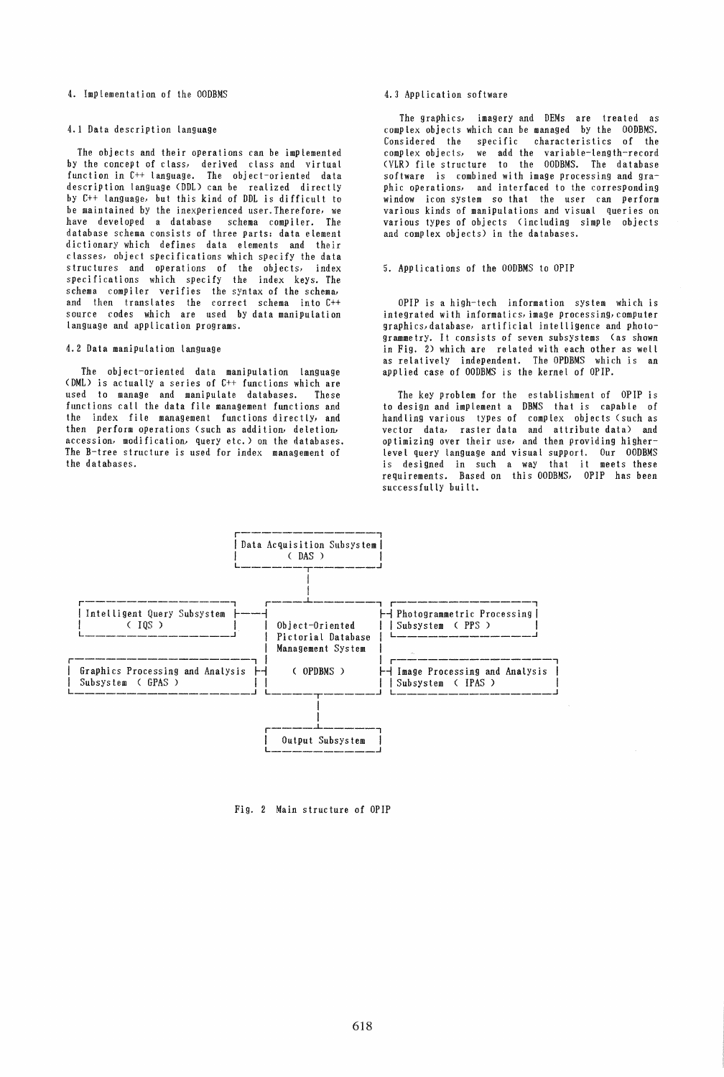# 4. Implementation of the OODBMS

# 4.1 Data description Language

The objects and their operations can be implemented by the concept of class, derived class and virtual function in C++ language. The object-oriented data description language (DDL) can be realized directly by C++ language, but this kind of DDL is difficult to be maintained by the inexperienced user. Therefore, we have developed a database schema compiler. The database schema consists of three parts: data eLement dictionary which defines data elements and their classes, object specifications which specify the data structures and operations of the objects, index specifications which specify the index keys. The schema compiler verifies the syntax of the schema, and then transLates the correct schema into C++ source codes which are used by data manipulation language and appLication programs.

## 4.2 Data manipulation language

The object-oriented data manipulation Language (DML) is actually a series of C++ functions which are<br>used to manage and manipulate databases. These used to manage and manipulate databases. functions call the data fite management functions and the index file management functions directly, and then perform operations (such as addition, deletion, accession, modi fication, query etc.) on the databases. The B-tree structure is used for index management of the databases.

# 4.3 Application software

The graphics} imagery and DEMs are treated as compLex objects which can be managed by the OODBMS. Considered the specific characteristics of the complex objects, we add the variable-length-record (VLR) file structure to the OODBMS. The database software is combined with image processing and graphic operations, and interfaced to the corresponding window icon system so that the user can perform various kinds of manipulations and visual queries on various types of objects (incLuding simple objects and complex objects) in the databases.

## 5. AppLications of the OODBMS to OPIP

OPIP is a high-tech information system which is integrated with informatics, image processing, computer graphics, database, artificial intelligence and photogramme try. It consists of seven subsystems (as shown in Fig. 2) which are related with each other as well as relatively independent. The OPDBMS which is an applied case of OODBMS is the kernel of OPIP.

The key problem for the establishment of OPIP is to design and implement a DBMS that is capable of handling various types of complex objects (such as vector data, raster data and attribute data) and oPtimizing over their use, and then providing higherlevel query language and visual support. Our OODBMS is designed in such a way that it meets these requirements. Based on this OODBMS, OPIP has been successfully built.



Fig. 2 Main structure of OPIP